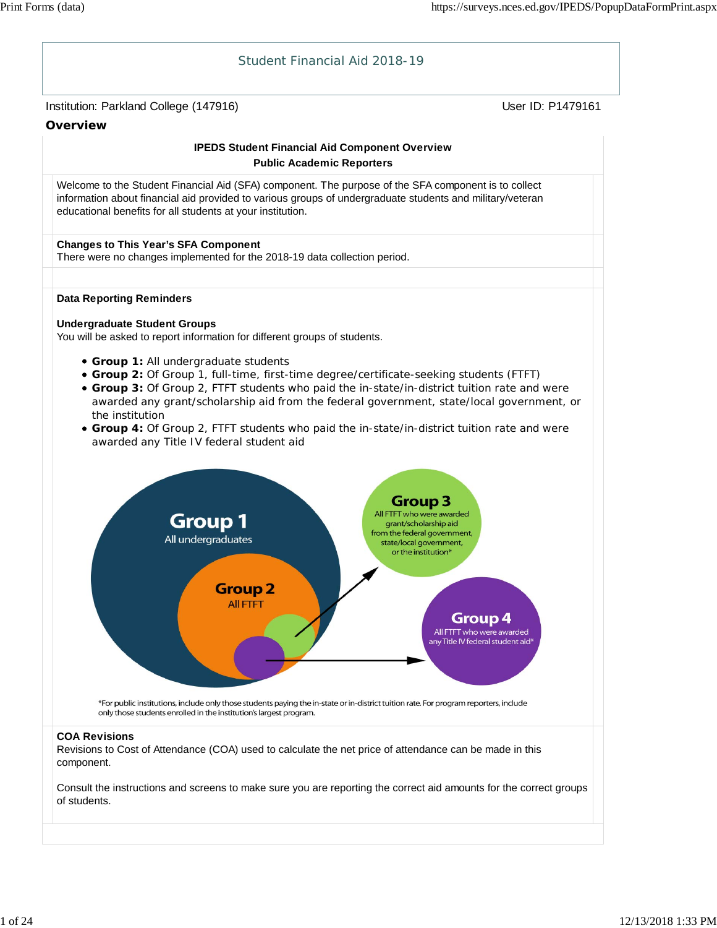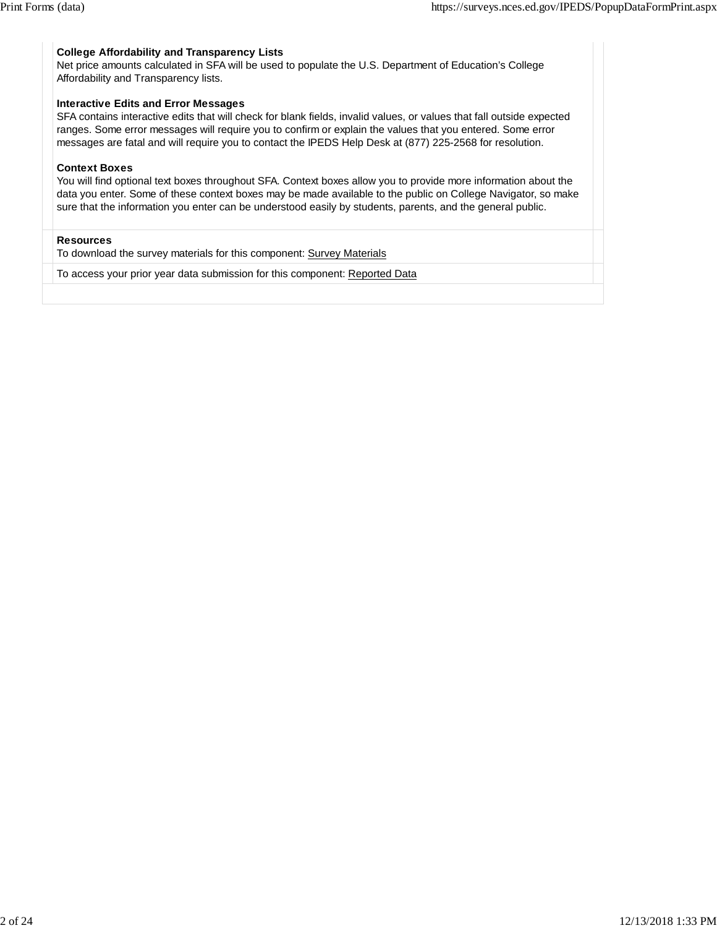#### **College Affordability and Transparency Lists**

Net price amounts calculated in SFA will be used to populate the U.S. Department of Education's College Affordability and Transparency lists.

## **Interactive Edits and Error Messages**

SFA contains interactive edits that will check for blank fields, invalid values, or values that fall outside expected ranges. Some error messages will require you to confirm or explain the values that you entered. Some error messages are fatal and will require you to contact the IPEDS Help Desk at (877) 225-2568 for resolution.

### **Context Boxes**

You will find optional text boxes throughout SFA. Context boxes allow you to provide more information about the data you enter. Some of these context boxes may be made available to the public on College Navigator, so make sure that the information you enter can be understood easily by students, parents, and the general public.

#### **Resources**

To download the survey materials for this component: Survey Materials

To access your prior year data submission for this component: Reported Data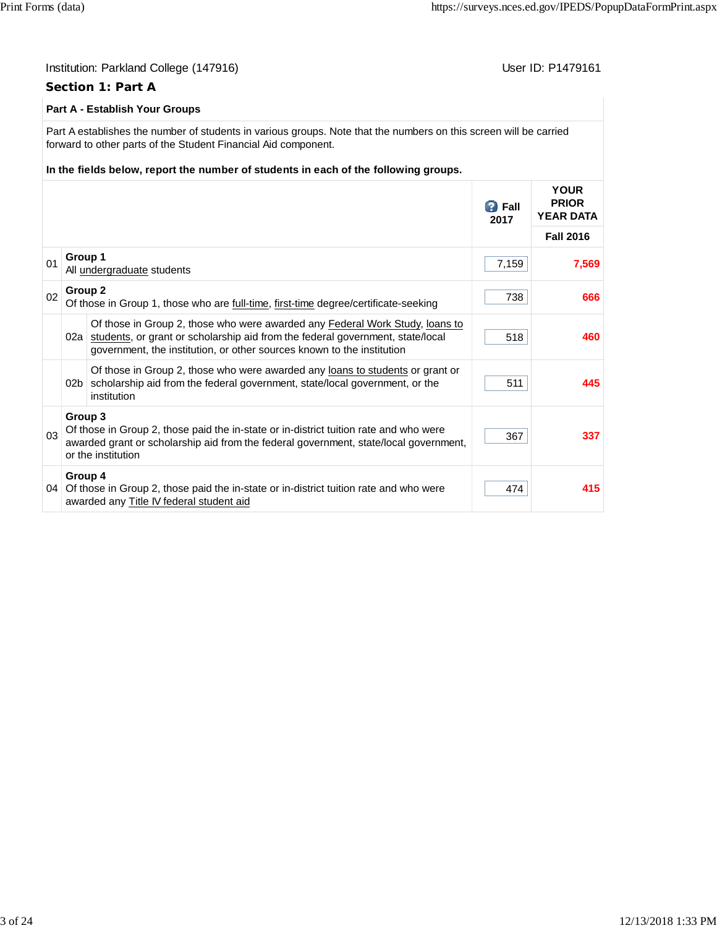474 **415**

### Institution: Parkland College (147916) November 2012 12: P1479161 **Section 1: Part A Part A - Establish Your Groups** Part A establishes the number of students in various groups. Note that the numbers on this screen will be carried forward to other parts of the Student Financial Aid component. **In the fields below, report the number of students in each of the following groups.** *B* Fall **2017 YOUR PRIOR YEAR DATA Fall 2016** <sup>01</sup> **Group 1** All undergraduate students 7,159 **7,569** <sup>02</sup> **Group 2** Of those in Group 1, those who are <u>full-time</u>, first-time degree/certificate-seeking 738<br> **Of those in Group 1, those who are full-time, first-time degree/certificate-seeking** 02a students, or grant or scholarship aid from the federal government, state/local Of those in Group 2, those who were awarded any Federal Work Study, loans to government, the institution, or other sources known to the institution 518 **460** 02b Scholarship aid from the federal government, state/local government, or the Of those in Group 2, those who were awarded any loans to students or grant or institution 511 **445** 03 **Group 3** Of those in Group 2, those paid the in-state or in-district tuition rate and who were awarded grant or scholarship aid from the federal government, state/local government, or the institution 367 **337**

|  | <b>OF LITE INSURANCE</b>                                                                 |     |  |
|--|------------------------------------------------------------------------------------------|-----|--|
|  | Group 4                                                                                  |     |  |
|  | 04 Of those in Group 2, those paid the in-state or in-district tuition rate and who were | 474 |  |
|  | awarded any Title IV federal student aid                                                 |     |  |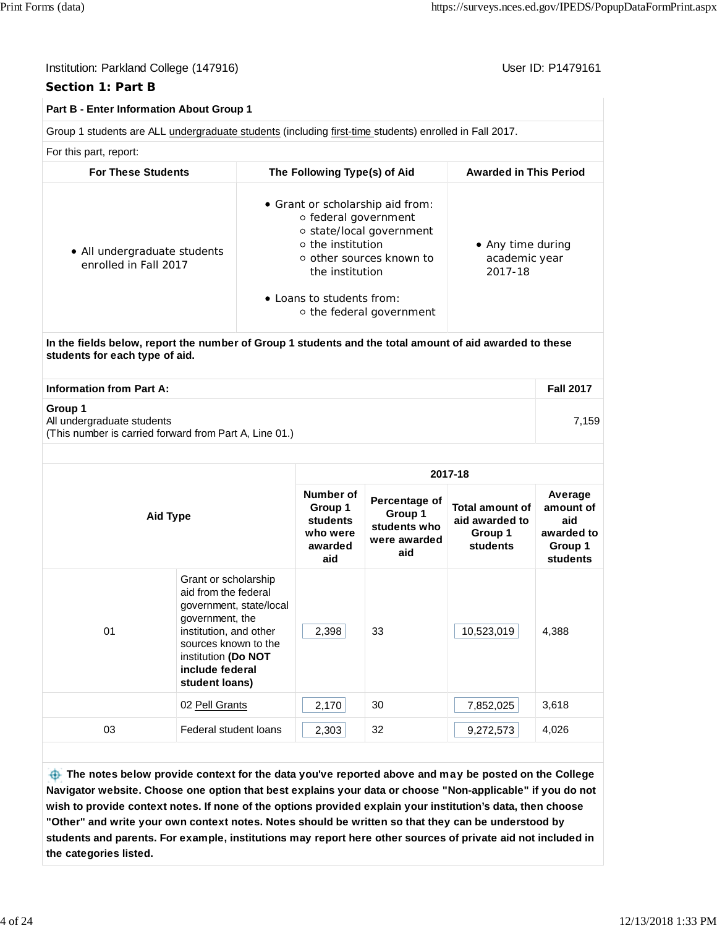|                                                                                                     | Institution: Parkland College (147916)<br>User ID: P1479161                                                                                                                                              |                                                                                                                               |                                                                                  |                                                                 |                                                                  |
|-----------------------------------------------------------------------------------------------------|----------------------------------------------------------------------------------------------------------------------------------------------------------------------------------------------------------|-------------------------------------------------------------------------------------------------------------------------------|----------------------------------------------------------------------------------|-----------------------------------------------------------------|------------------------------------------------------------------|
| <b>Section 1: Part B</b><br>Part B - Enter Information About Group 1                                |                                                                                                                                                                                                          |                                                                                                                               |                                                                                  |                                                                 |                                                                  |
|                                                                                                     | Group 1 students are ALL undergraduate students (including first-time students) enrolled in Fall 2017.                                                                                                   |                                                                                                                               |                                                                                  |                                                                 |                                                                  |
| For this part, report:                                                                              |                                                                                                                                                                                                          |                                                                                                                               |                                                                                  |                                                                 |                                                                  |
|                                                                                                     |                                                                                                                                                                                                          | The Following Type(s) of Aid                                                                                                  |                                                                                  | <b>Awarded in This Period</b>                                   |                                                                  |
| <b>For These Students</b><br>• All undergraduate students<br>enrolled in Fall 2017                  |                                                                                                                                                                                                          | • Grant or scholarship aid from:<br>o federal government<br>o the institution<br>the institution<br>• Loans to students from: | o state/local government<br>o other sources known to<br>o the federal government | • Any time during<br>academic year<br>2017-18                   |                                                                  |
| students for each type of aid.                                                                      | In the fields below, report the number of Group 1 students and the total amount of aid awarded to these                                                                                                  |                                                                                                                               |                                                                                  |                                                                 |                                                                  |
| <b>Information from Part A:</b><br><b>Fall 2017</b>                                                 |                                                                                                                                                                                                          |                                                                                                                               |                                                                                  |                                                                 |                                                                  |
| Group 1<br>All undergraduate students                                                               | (This number is carried forward from Part A, Line 01.)                                                                                                                                                   |                                                                                                                               |                                                                                  |                                                                 | 7,159                                                            |
|                                                                                                     |                                                                                                                                                                                                          |                                                                                                                               |                                                                                  | 2017-18                                                         |                                                                  |
| <b>Aid Type</b>                                                                                     |                                                                                                                                                                                                          | Number of<br>Group 1<br>students<br>who were<br>awarded<br>aid                                                                | Percentage of<br>Group 1<br>students who<br>were awarded<br>aid                  | <b>Total amount of</b><br>aid awarded to<br>Group 1<br>students | Average<br>amount of<br>aid<br>awarded to<br>Group 1<br>students |
| 01                                                                                                  | Grant or scholarship<br>aid from the federal<br>government, state/local<br>government, the<br>institution, and other<br>sources known to the<br>institution (Do NOT<br>include federal<br>student loans) | 2,398                                                                                                                         | 33                                                                               | 10,523,019                                                      | 4,388                                                            |
|                                                                                                     | 02 Pell Grants                                                                                                                                                                                           | 2,170                                                                                                                         | 30                                                                               | 7,852,025                                                       | 3,618                                                            |
| 03                                                                                                  | Federal student loans                                                                                                                                                                                    | 2,303                                                                                                                         | 32                                                                               | 9,272,573                                                       | 4,026                                                            |
|                                                                                                     |                                                                                                                                                                                                          |                                                                                                                               |                                                                                  |                                                                 |                                                                  |
| The notes below provide context for the data you've reported above and may be posted on the College |                                                                                                                                                                                                          |                                                                                                                               |                                                                                  |                                                                 |                                                                  |

**Navigator website. Choose one option that best explains your data or choose "Non-applicable" if you do not wish to provide context notes. If none of the options provided explain your institution's data, then choose "Other" and write your own context notes. Notes should be written so that they can be understood by students and parents. For example, institutions may report here other sources of private aid not included in the categories listed.**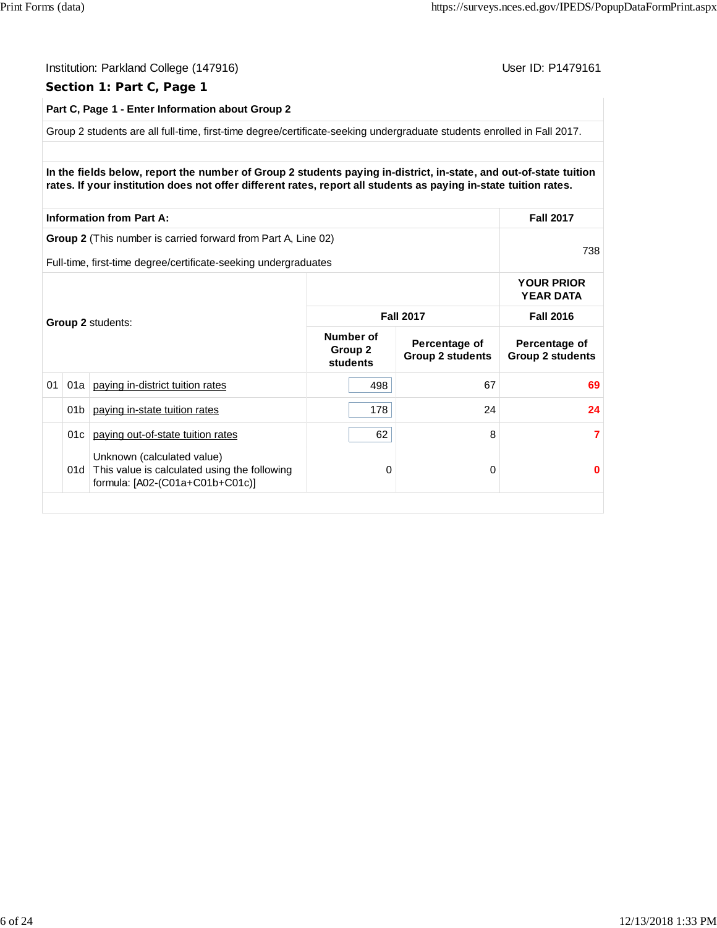|                                                                                                                                         | User ID: P1479161<br>Institution: Parkland College (147916)<br>Section 1: Part C, Page 1                                                                                                                                              |                                                                                                                         |                                  |                                          |                                          |  |  |
|-----------------------------------------------------------------------------------------------------------------------------------------|---------------------------------------------------------------------------------------------------------------------------------------------------------------------------------------------------------------------------------------|-------------------------------------------------------------------------------------------------------------------------|----------------------------------|------------------------------------------|------------------------------------------|--|--|
|                                                                                                                                         |                                                                                                                                                                                                                                       | Part C, Page 1 - Enter Information about Group 2                                                                        |                                  |                                          |                                          |  |  |
|                                                                                                                                         |                                                                                                                                                                                                                                       | Group 2 students are all full-time, first-time degree/certificate-seeking undergraduate students enrolled in Fall 2017. |                                  |                                          |                                          |  |  |
|                                                                                                                                         |                                                                                                                                                                                                                                       |                                                                                                                         |                                  |                                          |                                          |  |  |
|                                                                                                                                         | In the fields below, report the number of Group 2 students paying in-district, in-state, and out-of-state tuition<br>rates. If your institution does not offer different rates, report all students as paying in-state tuition rates. |                                                                                                                         |                                  |                                          |                                          |  |  |
|                                                                                                                                         |                                                                                                                                                                                                                                       | <b>Information from Part A:</b>                                                                                         |                                  |                                          | <b>Fall 2017</b>                         |  |  |
| <b>Group 2</b> (This number is carried forward from Part A, Line 02)<br>Full-time, first-time degree/certificate-seeking undergraduates |                                                                                                                                                                                                                                       |                                                                                                                         |                                  |                                          | 738                                      |  |  |
|                                                                                                                                         |                                                                                                                                                                                                                                       |                                                                                                                         |                                  |                                          | <b>YOUR PRIOR</b><br><b>YEAR DATA</b>    |  |  |
|                                                                                                                                         |                                                                                                                                                                                                                                       | <b>Group 2 students:</b>                                                                                                | <b>Fall 2017</b>                 | <b>Fall 2016</b>                         |                                          |  |  |
|                                                                                                                                         |                                                                                                                                                                                                                                       |                                                                                                                         | Number of<br>Group 2<br>students | Percentage of<br><b>Group 2 students</b> | Percentage of<br><b>Group 2 students</b> |  |  |
| 01                                                                                                                                      |                                                                                                                                                                                                                                       | 01a   paying in-district tuition rates                                                                                  | 498                              | 67                                       | 69                                       |  |  |
|                                                                                                                                         | 01b                                                                                                                                                                                                                                   | paying in-state tuition rates                                                                                           | 178                              | 24                                       | 24                                       |  |  |
|                                                                                                                                         |                                                                                                                                                                                                                                       | 01c   paying out-of-state tuition rates                                                                                 | 62                               | 8                                        | $\overline{7}$                           |  |  |
|                                                                                                                                         |                                                                                                                                                                                                                                       | Unknown (calculated value)<br>01d This value is calculated using the following<br>formula: [A02-(C01a+C01b+C01c)]       | 0                                | $\mathbf 0$                              | 0                                        |  |  |
|                                                                                                                                         |                                                                                                                                                                                                                                       |                                                                                                                         |                                  |                                          |                                          |  |  |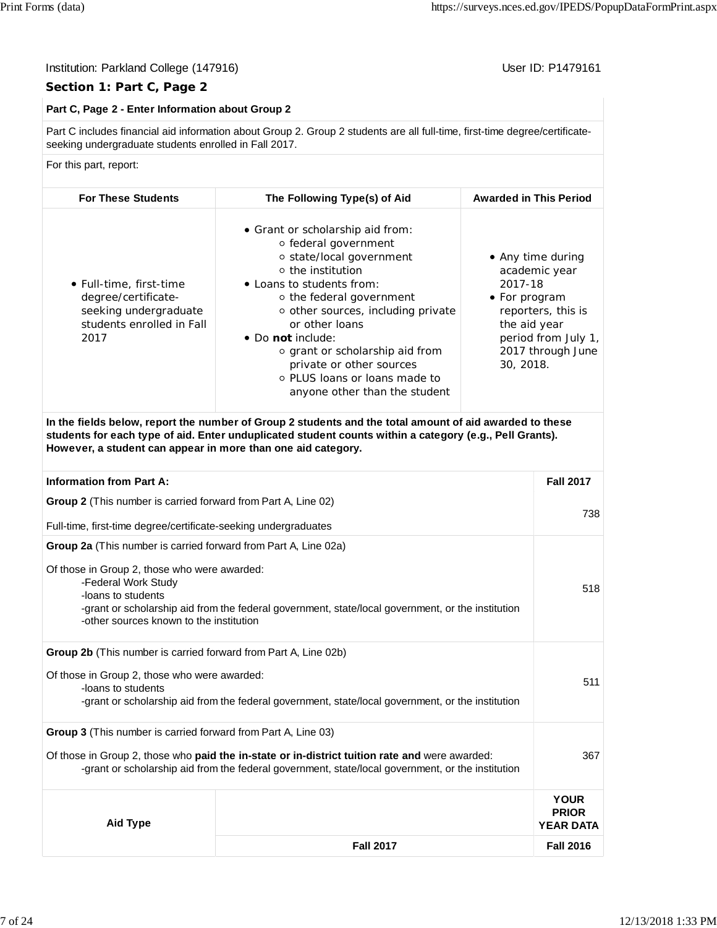# Institution: Parkland College (147916) **Institution: Parkland College (147916**)

# **Section 1: Part C, Page 2**

# **Part C, Page 2 - Enter Information about Group 2**

Part C includes financial aid information about Group 2. Group 2 students are all full-time, first-time degree/certificateseeking undergraduate students enrolled in Fall 2017.

#### For this part, report:

| <b>For These Students</b>                                                                                                                                                                                                                                                                                                                                                                                                                                                                                                                                 | The Following Type(s) of Aid | <b>Awarded in This Period</b> |                                                                                                      |  |
|-----------------------------------------------------------------------------------------------------------------------------------------------------------------------------------------------------------------------------------------------------------------------------------------------------------------------------------------------------------------------------------------------------------------------------------------------------------------------------------------------------------------------------------------------------------|------------------------------|-------------------------------|------------------------------------------------------------------------------------------------------|--|
| • Grant or scholarship aid from:<br>o federal government<br>o state/local government<br>o the institution<br>2017-18<br>• Loans to students from:<br>• Full-time, first-time<br>degree/certificate-<br>o the federal government<br>• For program<br>seeking undergraduate<br>o other sources, including private<br>students enrolled in Fall<br>or other loans<br>the aid year<br>2017<br>• Do not include:<br>o grant or scholarship aid from<br>30, 2018.<br>private or other sources<br>o PLUS loans or loans made to<br>anyone other than the student |                              |                               | • Any time during<br>academic year<br>reporters, this is<br>period from July 1,<br>2017 through June |  |
| In the fields below, report the number of Group 2 students and the total amount of aid awarded to these<br>students for each type of aid. Enter unduplicated student counts within a category (e.g., Pell Grants).<br>However, a student can appear in more than one aid category.                                                                                                                                                                                                                                                                        |                              |                               |                                                                                                      |  |
| <b>Information from Part A:</b>                                                                                                                                                                                                                                                                                                                                                                                                                                                                                                                           |                              |                               | <b>Fall 2017</b>                                                                                     |  |
| Group 2 (This number is carried forward from Part A, Line 02)                                                                                                                                                                                                                                                                                                                                                                                                                                                                                             |                              |                               | 738                                                                                                  |  |
| Full-time, first-time degree/certificate-seeking undergraduates                                                                                                                                                                                                                                                                                                                                                                                                                                                                                           |                              |                               |                                                                                                      |  |
| Group 2a (This number is carried forward from Part A, Line 02a)<br>Of those in Group 2, those who were awarded:<br>-Federal Work Study<br>-loans to students<br>-grant or scholarship aid from the federal government, state/local government, or the institution<br>-other sources known to the institution                                                                                                                                                                                                                                              |                              |                               |                                                                                                      |  |
| Group 2b (This number is carried forward from Part A, Line 02b)<br>Of those in Group 2, those who were awarded:<br>-loans to students<br>-grant or scholarship aid from the federal government, state/local government, or the institution                                                                                                                                                                                                                                                                                                                |                              |                               |                                                                                                      |  |
| <b>Group 3</b> (This number is carried forward from Part A, Line 03)<br>Of those in Group 2, those who paid the in-state or in-district tuition rate and were awarded:<br>-grant or scholarship aid from the federal government, state/local government, or the institution                                                                                                                                                                                                                                                                               |                              |                               |                                                                                                      |  |
| <b>Aid Type</b>                                                                                                                                                                                                                                                                                                                                                                                                                                                                                                                                           |                              |                               | <b>YOUR</b><br><b>PRIOR</b><br><b>YEAR DATA</b>                                                      |  |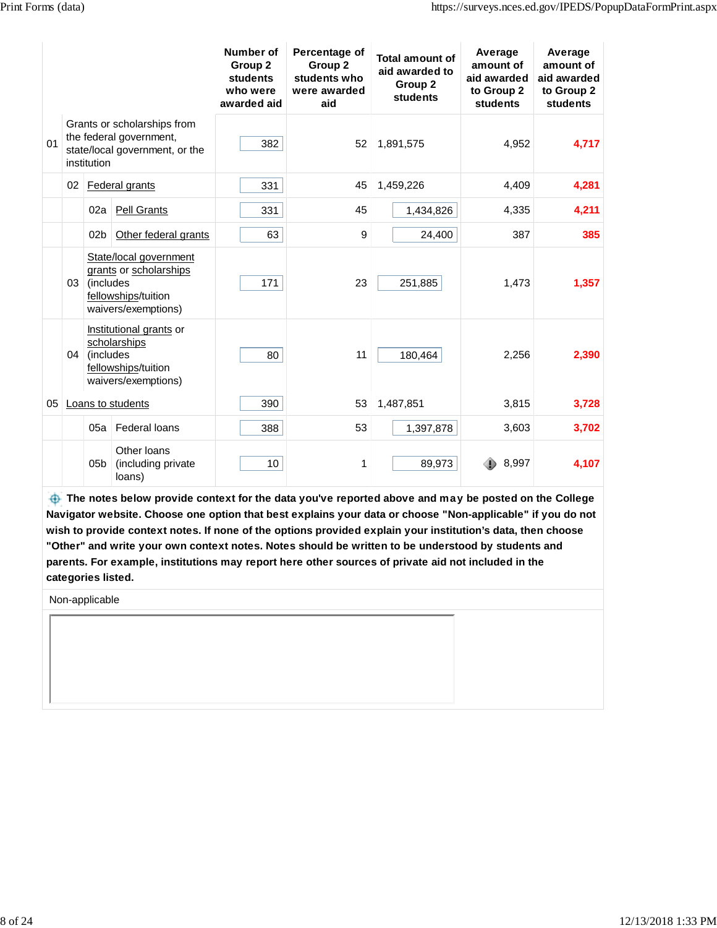|    |    |                   |                                                                                                | Number of<br>Group 2<br>students<br>who were<br>awarded aid | Percentage of<br>Group <sub>2</sub><br>students who<br>were awarded<br>aid | <b>Total amount of</b><br>aid awarded to<br>Group 2<br>students | Average<br>amount of<br>aid awarded<br>to Group 2<br>students | Average<br>amount of<br>aid awarded<br>to Group 2<br>students |
|----|----|-------------------|------------------------------------------------------------------------------------------------|-------------------------------------------------------------|----------------------------------------------------------------------------|-----------------------------------------------------------------|---------------------------------------------------------------|---------------------------------------------------------------|
| 01 |    | institution       | Grants or scholarships from<br>the federal government,<br>state/local government, or the       | 382                                                         | 52                                                                         | 1,891,575                                                       | 4,952                                                         | 4,717                                                         |
|    | 02 |                   | <b>Federal grants</b>                                                                          | 331                                                         | 45                                                                         | 1,459,226                                                       | 4,409                                                         | 4,281                                                         |
|    |    | 02a               | Pell Grants                                                                                    | 331                                                         | 45                                                                         | 1,434,826                                                       | 4,335                                                         | 4,211                                                         |
|    |    | 02 <sub>b</sub>   | Other federal grants                                                                           | 63                                                          | 9                                                                          | 24,400                                                          | 387                                                           | 385                                                           |
|    | 03 | (includes         | State/local government<br>grants or scholarships<br>fellowships/tuition<br>waivers/exemptions) | 171                                                         | 23                                                                         | 251,885                                                         | 1,473                                                         | 1,357                                                         |
|    | 04 | <i>(includes)</i> | Institutional grants or<br>scholarships<br>fellowships/tuition<br>waivers/exemptions)          | 80                                                          | 11                                                                         | 180,464                                                         | 2,256                                                         | 2,390                                                         |
| 05 |    |                   | Loans to students                                                                              | 390                                                         | 53                                                                         | 1,487,851                                                       | 3,815                                                         | 3,728                                                         |
|    |    | 05a               | Federal loans                                                                                  | 388                                                         | 53                                                                         | 1,397,878                                                       | 3,603                                                         | 3,702                                                         |
|    |    | 05 <sub>b</sub>   | Other loans<br>(including private<br>loans)                                                    | 10                                                          | 1                                                                          | 89,973                                                          | 8,997                                                         | 4,107                                                         |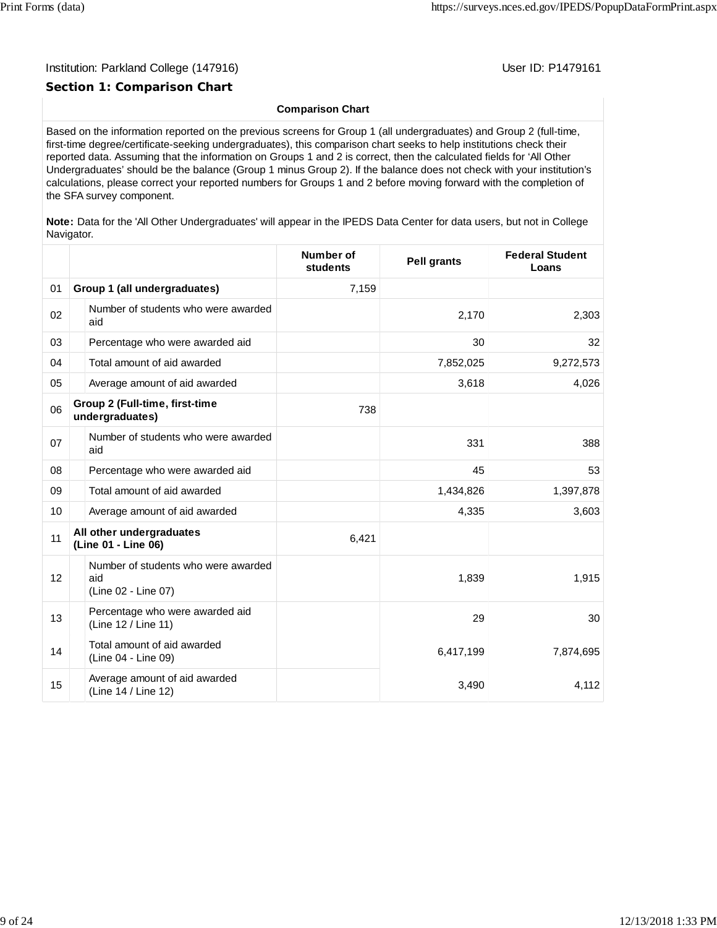### Institution: Parkland College (147916) November 2012 12: Physics User ID: P1479161

# **Section 1: Comparison Chart**

# **Comparison Chart**

Based on the information reported on the previous screens for Group 1 (all undergraduates) and Group 2 (full-time, first-time degree/certificate-seeking undergraduates), this comparison chart seeks to help institutions check their reported data. Assuming that the information on Groups 1 and 2 is correct, then the calculated fields for 'All Other Undergraduates' should be the balance (Group 1 minus Group 2). If the balance does not check with your institution's calculations, please correct your reported numbers for Groups 1 and 2 before moving forward with the completion of the SFA survey component.

**Note:** Data for the 'All Other Undergraduates' will appear in the IPEDS Data Center for data users, but not in College Navigator.

|    |                                                                   | Number of<br>students | <b>Pell grants</b> | <b>Federal Student</b><br>Loans |
|----|-------------------------------------------------------------------|-----------------------|--------------------|---------------------------------|
| 01 | Group 1 (all undergraduates)                                      | 7,159                 |                    |                                 |
| 02 | Number of students who were awarded<br>aid                        |                       | 2,170              | 2,303                           |
| 03 | Percentage who were awarded aid                                   |                       | 30                 | 32                              |
| 04 | Total amount of aid awarded                                       |                       | 7,852,025          | 9,272,573                       |
| 05 | Average amount of aid awarded                                     |                       | 3,618              | 4,026                           |
| 06 | Group 2 (Full-time, first-time<br>undergraduates)                 | 738                   |                    |                                 |
| 07 | Number of students who were awarded<br>aid                        |                       | 331                | 388                             |
| 08 | Percentage who were awarded aid                                   |                       | 45                 | 53                              |
| 09 | Total amount of aid awarded                                       |                       | 1,434,826          | 1,397,878                       |
| 10 | Average amount of aid awarded                                     |                       | 4,335              | 3,603                           |
| 11 | All other undergraduates<br>(Line 01 - Line 06)                   | 6,421                 |                    |                                 |
| 12 | Number of students who were awarded<br>aid<br>(Line 02 - Line 07) |                       | 1,839              | 1,915                           |
| 13 | Percentage who were awarded aid<br>(Line 12 / Line 11)            |                       | 29                 | 30                              |
| 14 | Total amount of aid awarded<br>(Line 04 - Line 09)                |                       | 6,417,199          | 7,874,695                       |
| 15 | Average amount of aid awarded<br>(Line 14 / Line 12)              |                       | 3,490              | 4,112                           |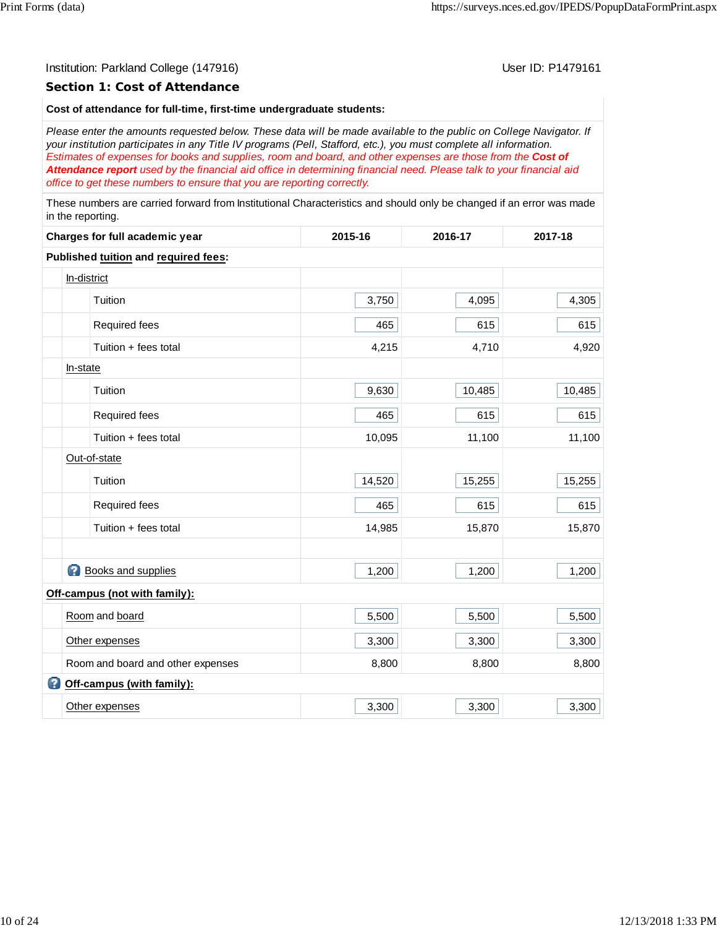### **Section 1: Cost of Attendance**

## **Cost of attendance for full-time, first-time undergraduate students:**

*Please enter the amounts requested below. These data will be made available to the public on College Navigator. If your institution participates in any Title IV programs (Pell, Stafford, etc.), you must complete all information. Estimates of expenses for books and supplies, room and board, and other expenses are those from the Cost of Attendance report used by the financial aid office in determining financial need. Please talk to your financial aid office to get these numbers to ensure that you are reporting correctly.*

These numbers are carried forward from Institutional Characteristics and should only be changed if an error was made in the reporting.

| Charges for full academic year       | 2015-16 | 2016-17 | 2017-18 |
|--------------------------------------|---------|---------|---------|
| Published tuition and required fees: |         |         |         |
| In-district                          |         |         |         |
| Tuition                              | 3,750   | 4,095   | 4,305   |
| Required fees                        | 465     | 615     | 615     |
| Tuition + fees total                 | 4,215   | 4,710   | 4,920   |
| In-state                             |         |         |         |
| Tuition                              | 9,630   | 10,485  | 10,485  |
| Required fees                        | 465     | 615     | 615     |
| Tuition + fees total                 | 10,095  | 11,100  | 11,100  |
| Out-of-state                         |         |         |         |
| Tuition                              | 14,520  | 15,255  | 15,255  |
| Required fees                        | 465     | 615     | 615     |
| Tuition + fees total                 | 14,985  | 15,870  | 15,870  |
|                                      |         |         |         |
| <b>Books and supplies</b>            | 1,200   | 1,200   | 1,200   |
| Off-campus (not with family):        |         |         |         |
| Room and board                       | 5,500   | 5,500   | 5,500   |
| Other expenses                       | 3,300   | 3,300   | 3,300   |
| Room and board and other expenses    | 8,800   | 8,800   | 8,800   |
| Off-campus (with family):            |         |         |         |
| Other expenses                       | 3,300   | 3,300   | 3,300   |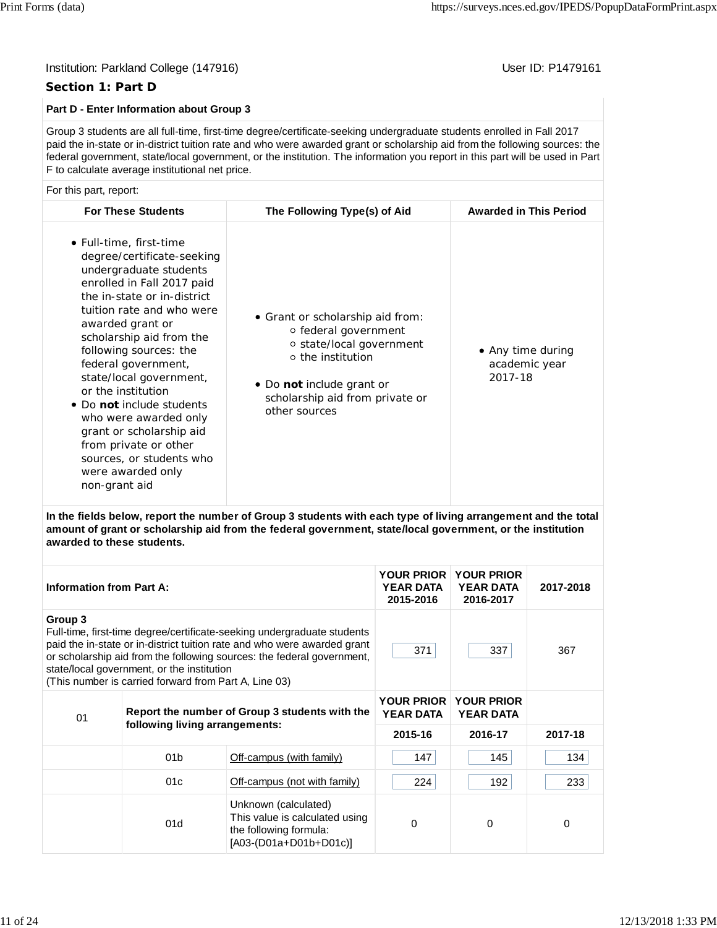# **Section 1: Part D**

# **Part D - Enter Information about Group 3**

Group 3 students are all full-time, first-time degree/certificate-seeking undergraduate students enrolled in Fall 2017 paid the in-state or in-district tuition rate and who were awarded grant or scholarship aid from the following sources: the federal government, state/local government, or the institution. The information you report in this part will be used in Part F to calculate average institutional net price.

#### For this part, report:

| <b>For These Students</b>                                                                                                                                                                                                                                                                                                                                                                                                                                                                                | The Following Type(s) of Aid                                                                                                                                                               | <b>Awarded in This Period</b>                 |
|----------------------------------------------------------------------------------------------------------------------------------------------------------------------------------------------------------------------------------------------------------------------------------------------------------------------------------------------------------------------------------------------------------------------------------------------------------------------------------------------------------|--------------------------------------------------------------------------------------------------------------------------------------------------------------------------------------------|-----------------------------------------------|
| • Full-time, first-time<br>degree/certificate-seeking<br>undergraduate students<br>enrolled in Fall 2017 paid<br>the in-state or in-district<br>tuition rate and who were<br>awarded grant or<br>scholarship aid from the<br>following sources: the<br>federal government,<br>state/local government,<br>or the institution<br>• Do not include students<br>who were awarded only<br>grant or scholarship aid<br>from private or other<br>sources, or students who<br>were awarded only<br>non-grant aid | • Grant or scholarship aid from:<br>o federal government<br>o state/local government<br>o the institution<br>• Do not include grant or<br>scholarship aid from private or<br>other sources | • Any time during<br>academic year<br>2017-18 |

**In the fields below, report the number of Group 3 students with each type of living arrangement and the total amount of grant or scholarship aid from the federal government, state/local government, or the institution awarded to these students.**

| <b>Information from Part A:</b>                                                                                                                                                                                                                                                                                                                 |                                                |                                                                                                              | <b>YOUR PRIOR</b><br><b>YEAR DATA</b><br>2015-2016 | <b>YOUR PRIOR</b><br><b>YEAR DATA</b><br>2016-2017 | 2017-2018 |
|-------------------------------------------------------------------------------------------------------------------------------------------------------------------------------------------------------------------------------------------------------------------------------------------------------------------------------------------------|------------------------------------------------|--------------------------------------------------------------------------------------------------------------|----------------------------------------------------|----------------------------------------------------|-----------|
| Group 3<br>Full-time, first-time degree/certificate-seeking undergraduate students<br>paid the in-state or in-district tuition rate and who were awarded grant<br>or scholarship aid from the following sources: the federal government,<br>state/local government, or the institution<br>(This number is carried forward from Part A, Line 03) |                                                | 371                                                                                                          | 337                                                | 367                                                |           |
| 01                                                                                                                                                                                                                                                                                                                                              | Report the number of Group 3 students with the |                                                                                                              | <b>YOUR PRIOR</b><br><b>YEAR DATA</b>              | <b>YOUR PRIOR</b><br><b>YEAR DATA</b>              |           |
|                                                                                                                                                                                                                                                                                                                                                 | following living arrangements:                 |                                                                                                              | 2015-16                                            | 2016-17                                            | 2017-18   |
|                                                                                                                                                                                                                                                                                                                                                 | 01 <sub>b</sub>                                | Off-campus (with family)                                                                                     | 147                                                | 145                                                | 134       |
|                                                                                                                                                                                                                                                                                                                                                 | 01c                                            | Off-campus (not with family)                                                                                 | 224                                                | 192                                                | 233       |
|                                                                                                                                                                                                                                                                                                                                                 | 01d                                            | Unknown (calculated)<br>This value is calculated using<br>the following formula:<br>$[A03-(D01a+D01b+D01c)]$ | 0                                                  | 0                                                  | 0         |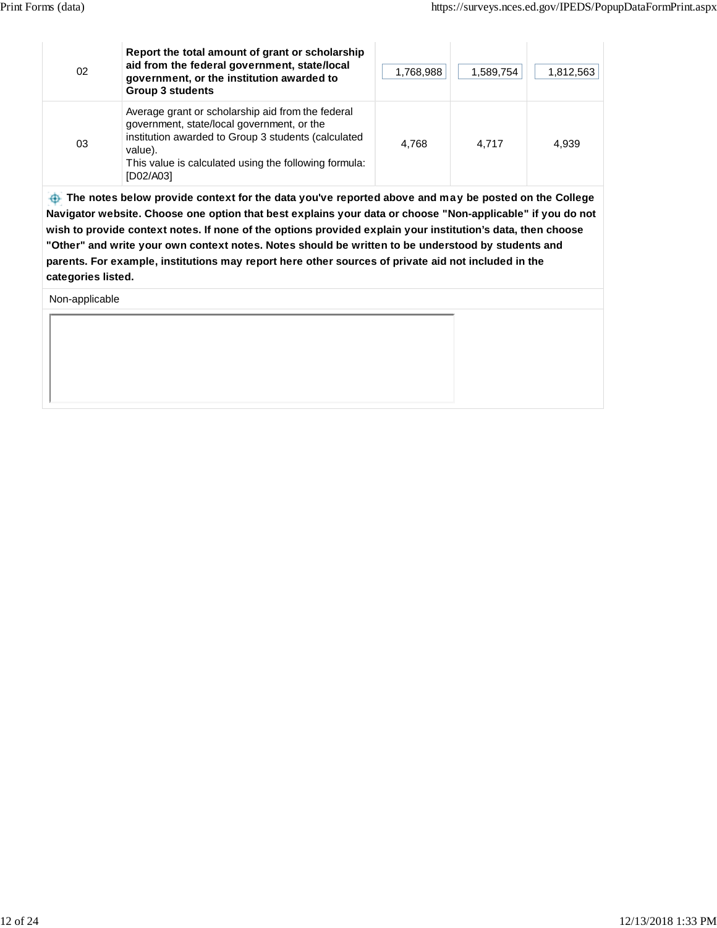| 02 | Report the total amount of grant or scholarship<br>aid from the federal government, state/local<br>government, or the institution awarded to<br><b>Group 3 students</b>                                                                 | 1,768,988 | 1,589,754 | 1,812,563 |
|----|-----------------------------------------------------------------------------------------------------------------------------------------------------------------------------------------------------------------------------------------|-----------|-----------|-----------|
| 03 | Average grant or scholarship aid from the federal<br>government, state/local government, or the<br>institution awarded to Group 3 students (calculated<br>value).<br>This value is calculated using the following formula:<br>[D02/A03] | 4.768     | 4.717     | 4,939     |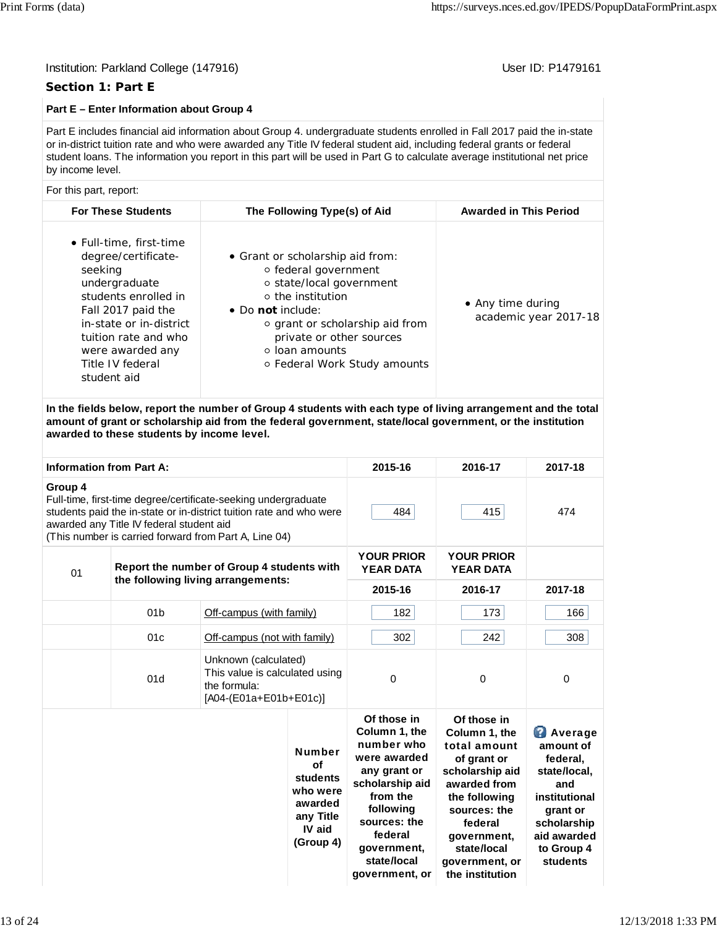# **Section 1: Part E**

# **Part E – Enter Information about Group 4**

Part E includes financial aid information about Group 4. undergraduate students enrolled in Fall 2017 paid the in-state or in-district tuition rate and who were awarded any Title IV federal student aid, including federal grants or federal student loans. The information you report in this part will be used in Part G to calculate average institutional net price by income level.

#### For this part, report:

| <b>For These Students</b>                                                                                                                                                                                                          | The Following Type(s) of Aid                                                                                                                                                                                                                            | <b>Awarded in This Period</b>              |
|------------------------------------------------------------------------------------------------------------------------------------------------------------------------------------------------------------------------------------|---------------------------------------------------------------------------------------------------------------------------------------------------------------------------------------------------------------------------------------------------------|--------------------------------------------|
| • Full-time, first-time<br>degree/certificate-<br>seeking<br>undergraduate<br>students enrolled in<br>Fall 2017 paid the<br>in-state or in-district<br>tuition rate and who<br>were awarded any<br>Title IV federal<br>student aid | • Grant or scholarship aid from:<br>○ federal government<br>○ state/local government<br>o the institution<br>$\bullet$ Do not include:<br>o grant or scholarship aid from<br>private or other sources<br>○ loan amounts<br>○ Federal Work Study amounts | • Any time during<br>academic year 2017-18 |

**In the fields below, report the number of Group 4 students with each type of living arrangement and the total amount of grant or scholarship aid from the federal government, state/local government, or the institution awarded to these students by income level.**

| <b>Information from Part A:</b>                                                        |                                          |                                                                                                                                                                                                |                                                                                            | 2015-16                                                                                                                                                                                           | 2016-17                                                                                                                                                                                                       | 2017-18                                                                                                                                             |
|----------------------------------------------------------------------------------------|------------------------------------------|------------------------------------------------------------------------------------------------------------------------------------------------------------------------------------------------|--------------------------------------------------------------------------------------------|---------------------------------------------------------------------------------------------------------------------------------------------------------------------------------------------------|---------------------------------------------------------------------------------------------------------------------------------------------------------------------------------------------------------------|-----------------------------------------------------------------------------------------------------------------------------------------------------|
| Group 4                                                                                | awarded any Title IV federal student aid | Full-time, first-time degree/certificate-seeking undergraduate<br>students paid the in-state or in-district tuition rate and who were<br>(This number is carried forward from Part A, Line 04) |                                                                                            | 484                                                                                                                                                                                               | 415                                                                                                                                                                                                           | 474                                                                                                                                                 |
| Report the number of Group 4 students with<br>01<br>the following living arrangements: |                                          |                                                                                                                                                                                                |                                                                                            | <b>YOUR PRIOR</b><br><b>YEAR DATA</b>                                                                                                                                                             | <b>YOUR PRIOR</b><br><b>YEAR DATA</b>                                                                                                                                                                         |                                                                                                                                                     |
|                                                                                        |                                          |                                                                                                                                                                                                |                                                                                            | 2015-16                                                                                                                                                                                           | 2016-17                                                                                                                                                                                                       | 2017-18                                                                                                                                             |
|                                                                                        | 01 <sub>b</sub>                          | Off-campus (with family)                                                                                                                                                                       |                                                                                            | 182                                                                                                                                                                                               | 173                                                                                                                                                                                                           | 166                                                                                                                                                 |
| 01c<br>Off-campus (not with family)                                                    |                                          |                                                                                                                                                                                                | 302                                                                                        | 242                                                                                                                                                                                               | 308                                                                                                                                                                                                           |                                                                                                                                                     |
|                                                                                        | 01d                                      | Unknown (calculated)<br>This value is calculated using<br>the formula:<br>[A04-(E01a+E01b+E01c)]                                                                                               |                                                                                            | $\Omega$                                                                                                                                                                                          | $\Omega$                                                                                                                                                                                                      | 0                                                                                                                                                   |
|                                                                                        |                                          |                                                                                                                                                                                                | <b>Number</b><br>of<br>students<br>who were<br>awarded<br>any Title<br>IV aid<br>(Group 4) | Of those in<br>Column 1, the<br>number who<br>were awarded<br>any grant or<br>scholarship aid<br>from the<br>following<br>sources: the<br>federal<br>government,<br>state/local<br>government, or | Of those in<br>Column 1, the<br>total amount<br>of grant or<br>scholarship aid<br>awarded from<br>the following<br>sources: the<br>federal<br>government,<br>state/local<br>government, or<br>the institution | <b>Average</b><br>amount of<br>federal.<br>state/local.<br>and<br>institutional<br>grant or<br>scholarship<br>aid awarded<br>to Group 4<br>students |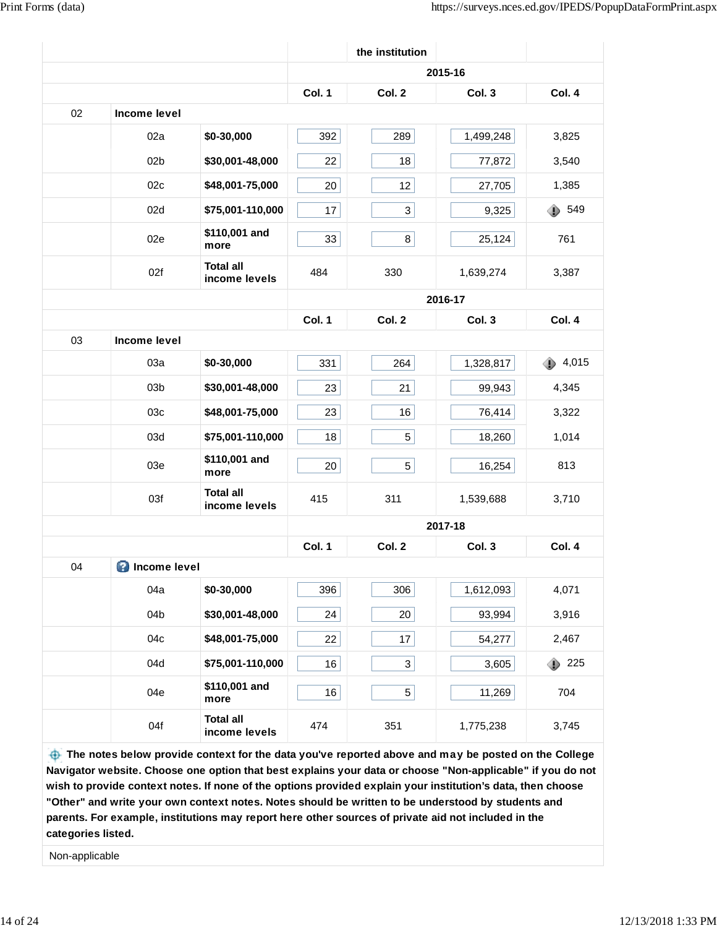|    |                       |                                   |        | the institution |           |            |
|----|-----------------------|-----------------------------------|--------|-----------------|-----------|------------|
|    |                       |                                   |        |                 | 2015-16   |            |
|    |                       |                                   | Col. 1 | Col. 2          | Col. 3    | Col. 4     |
| 02 | Income level          |                                   |        |                 |           |            |
|    | 02a                   | \$0-30,000                        | 392    | 289             | 1,499,248 | 3,825      |
|    | 02 <sub>b</sub>       | \$30,001-48,000                   | 22     | 18              | 77,872    | 3,540      |
|    | 02c                   | \$48,001-75,000                   | 20     | 12              | 27,705    | 1,385      |
|    | 02d                   | \$75,001-110,000                  | 17     | 3               | 9,325     | ● 549      |
|    | 02e                   | \$110,001 and<br>more             | 33     | 8 <sup>1</sup>  | 25,124    | 761        |
|    | 02f                   | <b>Total all</b><br>income levels | 484    | 330             | 1,639,274 | 3,387      |
|    |                       |                                   |        |                 | 2016-17   |            |
|    |                       |                                   | Col. 1 | Col. 2          | Col. 3    | Col. 4     |
| 03 | Income level          |                                   |        |                 |           |            |
|    | 03a                   | \$0-30,000                        | 331    | 264             | 1,328,817 | 4,015<br>۰ |
|    | 03 <sub>b</sub>       | \$30,001-48,000                   | 23     | 21              | 99,943    | 4,345      |
|    | 03c                   | \$48,001-75,000                   | 23     | 16              | 76,414    | 3,322      |
|    | 03d                   | \$75,001-110,000                  | 18     | 5               | 18,260    | 1,014      |
|    | 03e                   | \$110,001 and<br>more             | 20     | 5               | 16,254    | 813        |
|    | 03f                   | <b>Total all</b><br>income levels | 415    | 311             | 1,539,688 | 3,710      |
|    |                       |                                   |        |                 | 2017-18   |            |
|    |                       |                                   | Col. 1 | Col. 2          | Col. 3    | Col. 4     |
| 04 | <b>O</b> Income level |                                   |        |                 |           |            |
|    | 04a                   | \$0-30,000                        | 396    | 306             | 1,612,093 | 4,071      |
|    | 04b                   | \$30,001-48,000                   | 24     | 20              | 93,994    | 3,916      |
|    | 04c                   | \$48,001-75,000                   | 22     | 17              | 54,277    | 2,467      |
|    | 04d                   | \$75,001-110,000                  | 16     | $3\vert$        | 3,605     | ● 225      |
|    | 04e                   | \$110,001 and<br>more             | 16     | $5\vert$        | 11,269    | 704        |
|    | 04f                   | <b>Total all</b><br>income levels | 474    | 351             | 1,775,238 | 3,745      |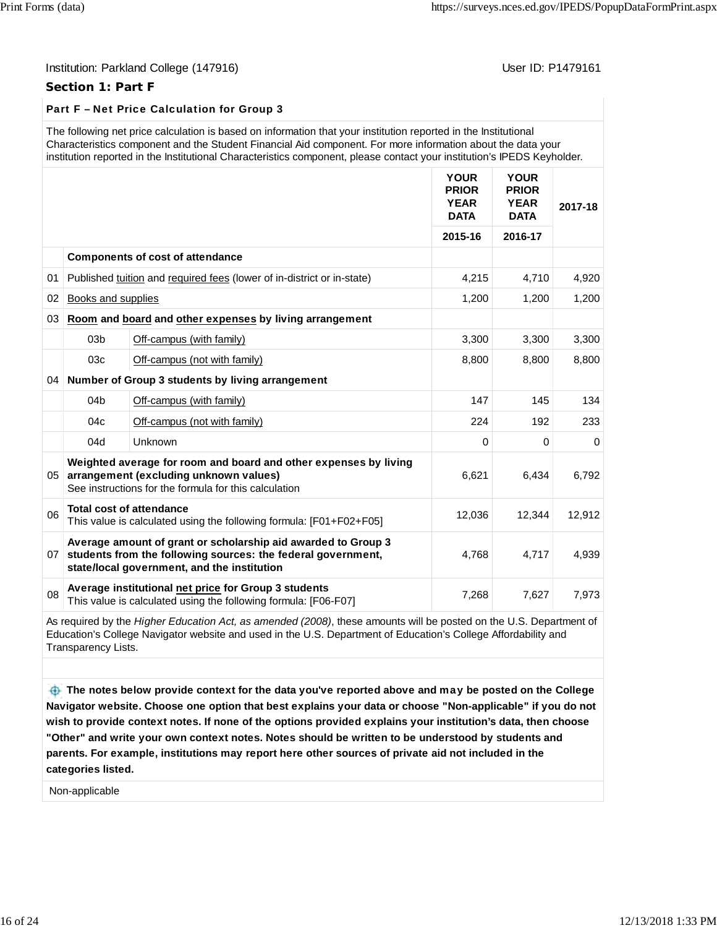# **Section 1: Part F**

# Part F – Net Price Calculation for Group 3

| The following net price calculation is based on information that your institution reported in the Institutional         |
|-------------------------------------------------------------------------------------------------------------------------|
| Characteristics component and the Student Financial Aid component. For more information about the data your             |
| institution reported in the Institutional Characteristics component, please contact your institution's IPEDS Keyholder. |

|    |                                                                                                                                                                              |                                                                                                                                                                     | <b>YOUR</b><br><b>PRIOR</b><br><b>YEAR</b><br><b>DATA</b> | <b>YOUR</b><br><b>PRIOR</b><br><b>YEAR</b><br><b>DATA</b> | 2017-18  |
|----|------------------------------------------------------------------------------------------------------------------------------------------------------------------------------|---------------------------------------------------------------------------------------------------------------------------------------------------------------------|-----------------------------------------------------------|-----------------------------------------------------------|----------|
|    |                                                                                                                                                                              |                                                                                                                                                                     | 2015-16                                                   | 2016-17                                                   |          |
|    |                                                                                                                                                                              | <b>Components of cost of attendance</b>                                                                                                                             |                                                           |                                                           |          |
| 01 |                                                                                                                                                                              | Published tuition and required fees (lower of in-district or in-state)                                                                                              | 4,215                                                     | 4,710                                                     | 4,920    |
| 02 | Books and supplies                                                                                                                                                           |                                                                                                                                                                     | 1,200                                                     | 1,200                                                     | 1,200    |
| 03 |                                                                                                                                                                              | Room and board and other expenses by living arrangement                                                                                                             |                                                           |                                                           |          |
|    | 03 <sub>b</sub>                                                                                                                                                              | Off-campus (with family)                                                                                                                                            | 3,300                                                     | 3,300                                                     | 3,300    |
|    | 03c                                                                                                                                                                          | Off-campus (not with family)                                                                                                                                        | 8,800                                                     | 8.800                                                     | 8,800    |
|    |                                                                                                                                                                              | 04 Number of Group 3 students by living arrangement                                                                                                                 |                                                           |                                                           |          |
|    | 04 <sub>b</sub>                                                                                                                                                              | Off-campus (with family)                                                                                                                                            | 147                                                       | 145                                                       | 134      |
|    | 04c                                                                                                                                                                          | Off-campus (not with family)                                                                                                                                        | 224                                                       | 192                                                       | 233      |
|    | 04d                                                                                                                                                                          | Unknown                                                                                                                                                             | $\Omega$                                                  | $\Omega$                                                  | $\Omega$ |
| 05 |                                                                                                                                                                              | Weighted average for room and board and other expenses by living<br>arrangement (excluding unknown values)<br>See instructions for the formula for this calculation | 6,621                                                     | 6.434                                                     | 6,792    |
| 06 |                                                                                                                                                                              | <b>Total cost of attendance</b><br>This value is calculated using the following formula: [F01+F02+F05]                                                              | 12,036                                                    | 12,344                                                    | 12,912   |
| 07 | Average amount of grant or scholarship aid awarded to Group 3<br>students from the following sources: the federal government,<br>state/local government, and the institution |                                                                                                                                                                     |                                                           | 4,717                                                     | 4,939    |
| 08 |                                                                                                                                                                              | Average institutional net price for Group 3 students<br>This value is calculated using the following formula: [F06-F07]                                             | 7,268                                                     | 7,627                                                     | 7,973    |

As required by the *Higher Education Act, as amended (2008)*, these amounts will be posted on the U.S. Department of Education's College Navigator website and used in the U.S. Department of Education's College Affordability and Transparency Lists.

 **The notes below provide context for the data you've reported above and** may **be posted on the College Navigator website. Choose one option that best explains your data or choose "Non-applicable" if you do not wish to provide context notes. If none of the options provided explains your institution's data, then choose "Other" and write your own context notes. Notes should be written to be understood by students and parents. For example, institutions may report here other sources of private aid not included in the categories listed.**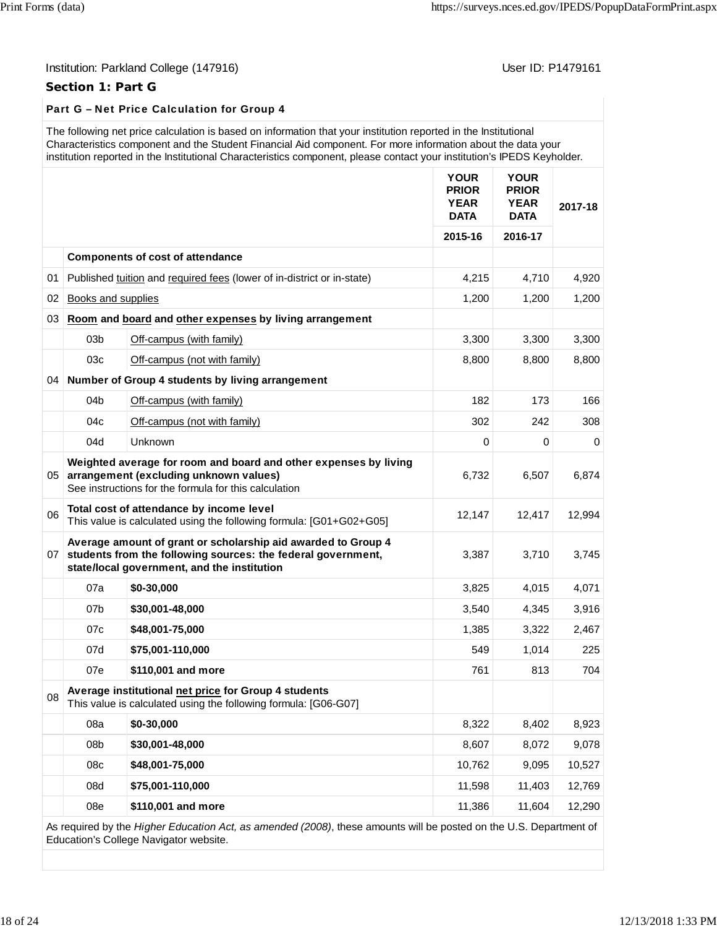## Institution: Parkland College (147916) Contract College (147916)

# **Section 1: Part G**

# Part G – Net Price Calculation for Group 4

| <b>YOUR</b><br><b>YOUR</b><br><b>PRIOR</b><br><b>PRIOR</b><br><b>YEAR</b><br><b>YEAR</b><br>2017-18<br><b>DATA</b><br><b>DATA</b><br>2015-16<br>2016-17<br><b>Components of cost of attendance</b><br>4,215<br>4,920<br>Published tuition and required fees (lower of in-district or in-state)<br>4,710<br>01<br>1,200<br>02<br>Books and supplies<br>1,200<br>1,200<br>Room and board and other expenses by living arrangement<br>03<br>03 <sub>b</sub><br>Off-campus (with family)<br>3,300<br>3,300<br>3,300<br>03c<br>Off-campus (not with family)<br>8,800<br>8,800<br>8,800<br>Number of Group 4 students by living arrangement<br>04<br>04b<br>Off-campus (with family)<br>182<br>173<br>166<br>302<br>04c<br>Off-campus (not with family)<br>242<br>308<br>04d<br>Unknown<br>0<br>0<br>0<br>Weighted average for room and board and other expenses by living<br>arrangement (excluding unknown values)<br>6,507<br>6,874<br>05<br>6,732<br>See instructions for the formula for this calculation<br>Total cost of attendance by income level<br>06<br>12,994<br>12,147<br>12,417<br>This value is calculated using the following formula: [G01+G02+G05]<br>Average amount of grant or scholarship aid awarded to Group 4<br>students from the following sources: the federal government,<br>07<br>3,387<br>3,710<br>3,745<br>state/local government, and the institution<br>07a<br>\$0-30,000<br>3,825<br>4,015<br>4,071<br>3,916<br>07 <sub>b</sub><br>\$30,001-48,000<br>3,540<br>4,345<br>2,467<br>07 <sub>c</sub><br>\$48,001-75,000<br>1,385<br>3,322<br>549<br>1,014<br>07d<br>\$75,001-110,000<br>225<br>07e<br>\$110,001 and more<br>761<br>813<br>704<br>Average institutional net price for Group 4 students<br>08<br>This value is calculated using the following formula: [G06-G07]<br>08a<br>\$0-30,000<br>8,322<br>8,402<br>8,923<br>08b<br>\$30,001-48,000<br>9,078<br>8,607<br>8,072<br>08c<br>10,762<br>10,527<br>\$48,001-75,000<br>9,095<br>08d<br>12,769<br>\$75,001-110,000<br>11,598<br>11,403<br>11,386<br>08e<br>\$110,001 and more<br>11,604<br>12,290 |  | The following net price calculation is based on information that your institution reported in the Institutional<br>Characteristics component and the Student Financial Aid component. For more information about the data your<br>institution reported in the Institutional Characteristics component, please contact your institution's IPEDS Keyholder. |  |  |
|-----------------------------------------------------------------------------------------------------------------------------------------------------------------------------------------------------------------------------------------------------------------------------------------------------------------------------------------------------------------------------------------------------------------------------------------------------------------------------------------------------------------------------------------------------------------------------------------------------------------------------------------------------------------------------------------------------------------------------------------------------------------------------------------------------------------------------------------------------------------------------------------------------------------------------------------------------------------------------------------------------------------------------------------------------------------------------------------------------------------------------------------------------------------------------------------------------------------------------------------------------------------------------------------------------------------------------------------------------------------------------------------------------------------------------------------------------------------------------------------------------------------------------------------------------------------------------------------------------------------------------------------------------------------------------------------------------------------------------------------------------------------------------------------------------------------------------------------------------------------------------------------------------------------------------------------------------------------------------------------------------------------------------------------------------------------------------------------|--|-----------------------------------------------------------------------------------------------------------------------------------------------------------------------------------------------------------------------------------------------------------------------------------------------------------------------------------------------------------|--|--|
|                                                                                                                                                                                                                                                                                                                                                                                                                                                                                                                                                                                                                                                                                                                                                                                                                                                                                                                                                                                                                                                                                                                                                                                                                                                                                                                                                                                                                                                                                                                                                                                                                                                                                                                                                                                                                                                                                                                                                                                                                                                                                         |  |                                                                                                                                                                                                                                                                                                                                                           |  |  |
|                                                                                                                                                                                                                                                                                                                                                                                                                                                                                                                                                                                                                                                                                                                                                                                                                                                                                                                                                                                                                                                                                                                                                                                                                                                                                                                                                                                                                                                                                                                                                                                                                                                                                                                                                                                                                                                                                                                                                                                                                                                                                         |  |                                                                                                                                                                                                                                                                                                                                                           |  |  |
|                                                                                                                                                                                                                                                                                                                                                                                                                                                                                                                                                                                                                                                                                                                                                                                                                                                                                                                                                                                                                                                                                                                                                                                                                                                                                                                                                                                                                                                                                                                                                                                                                                                                                                                                                                                                                                                                                                                                                                                                                                                                                         |  |                                                                                                                                                                                                                                                                                                                                                           |  |  |
|                                                                                                                                                                                                                                                                                                                                                                                                                                                                                                                                                                                                                                                                                                                                                                                                                                                                                                                                                                                                                                                                                                                                                                                                                                                                                                                                                                                                                                                                                                                                                                                                                                                                                                                                                                                                                                                                                                                                                                                                                                                                                         |  |                                                                                                                                                                                                                                                                                                                                                           |  |  |
|                                                                                                                                                                                                                                                                                                                                                                                                                                                                                                                                                                                                                                                                                                                                                                                                                                                                                                                                                                                                                                                                                                                                                                                                                                                                                                                                                                                                                                                                                                                                                                                                                                                                                                                                                                                                                                                                                                                                                                                                                                                                                         |  |                                                                                                                                                                                                                                                                                                                                                           |  |  |
|                                                                                                                                                                                                                                                                                                                                                                                                                                                                                                                                                                                                                                                                                                                                                                                                                                                                                                                                                                                                                                                                                                                                                                                                                                                                                                                                                                                                                                                                                                                                                                                                                                                                                                                                                                                                                                                                                                                                                                                                                                                                                         |  |                                                                                                                                                                                                                                                                                                                                                           |  |  |
|                                                                                                                                                                                                                                                                                                                                                                                                                                                                                                                                                                                                                                                                                                                                                                                                                                                                                                                                                                                                                                                                                                                                                                                                                                                                                                                                                                                                                                                                                                                                                                                                                                                                                                                                                                                                                                                                                                                                                                                                                                                                                         |  |                                                                                                                                                                                                                                                                                                                                                           |  |  |
|                                                                                                                                                                                                                                                                                                                                                                                                                                                                                                                                                                                                                                                                                                                                                                                                                                                                                                                                                                                                                                                                                                                                                                                                                                                                                                                                                                                                                                                                                                                                                                                                                                                                                                                                                                                                                                                                                                                                                                                                                                                                                         |  |                                                                                                                                                                                                                                                                                                                                                           |  |  |
|                                                                                                                                                                                                                                                                                                                                                                                                                                                                                                                                                                                                                                                                                                                                                                                                                                                                                                                                                                                                                                                                                                                                                                                                                                                                                                                                                                                                                                                                                                                                                                                                                                                                                                                                                                                                                                                                                                                                                                                                                                                                                         |  |                                                                                                                                                                                                                                                                                                                                                           |  |  |
|                                                                                                                                                                                                                                                                                                                                                                                                                                                                                                                                                                                                                                                                                                                                                                                                                                                                                                                                                                                                                                                                                                                                                                                                                                                                                                                                                                                                                                                                                                                                                                                                                                                                                                                                                                                                                                                                                                                                                                                                                                                                                         |  |                                                                                                                                                                                                                                                                                                                                                           |  |  |
|                                                                                                                                                                                                                                                                                                                                                                                                                                                                                                                                                                                                                                                                                                                                                                                                                                                                                                                                                                                                                                                                                                                                                                                                                                                                                                                                                                                                                                                                                                                                                                                                                                                                                                                                                                                                                                                                                                                                                                                                                                                                                         |  |                                                                                                                                                                                                                                                                                                                                                           |  |  |
|                                                                                                                                                                                                                                                                                                                                                                                                                                                                                                                                                                                                                                                                                                                                                                                                                                                                                                                                                                                                                                                                                                                                                                                                                                                                                                                                                                                                                                                                                                                                                                                                                                                                                                                                                                                                                                                                                                                                                                                                                                                                                         |  |                                                                                                                                                                                                                                                                                                                                                           |  |  |
|                                                                                                                                                                                                                                                                                                                                                                                                                                                                                                                                                                                                                                                                                                                                                                                                                                                                                                                                                                                                                                                                                                                                                                                                                                                                                                                                                                                                                                                                                                                                                                                                                                                                                                                                                                                                                                                                                                                                                                                                                                                                                         |  |                                                                                                                                                                                                                                                                                                                                                           |  |  |
|                                                                                                                                                                                                                                                                                                                                                                                                                                                                                                                                                                                                                                                                                                                                                                                                                                                                                                                                                                                                                                                                                                                                                                                                                                                                                                                                                                                                                                                                                                                                                                                                                                                                                                                                                                                                                                                                                                                                                                                                                                                                                         |  |                                                                                                                                                                                                                                                                                                                                                           |  |  |
|                                                                                                                                                                                                                                                                                                                                                                                                                                                                                                                                                                                                                                                                                                                                                                                                                                                                                                                                                                                                                                                                                                                                                                                                                                                                                                                                                                                                                                                                                                                                                                                                                                                                                                                                                                                                                                                                                                                                                                                                                                                                                         |  |                                                                                                                                                                                                                                                                                                                                                           |  |  |
|                                                                                                                                                                                                                                                                                                                                                                                                                                                                                                                                                                                                                                                                                                                                                                                                                                                                                                                                                                                                                                                                                                                                                                                                                                                                                                                                                                                                                                                                                                                                                                                                                                                                                                                                                                                                                                                                                                                                                                                                                                                                                         |  |                                                                                                                                                                                                                                                                                                                                                           |  |  |
|                                                                                                                                                                                                                                                                                                                                                                                                                                                                                                                                                                                                                                                                                                                                                                                                                                                                                                                                                                                                                                                                                                                                                                                                                                                                                                                                                                                                                                                                                                                                                                                                                                                                                                                                                                                                                                                                                                                                                                                                                                                                                         |  |                                                                                                                                                                                                                                                                                                                                                           |  |  |
|                                                                                                                                                                                                                                                                                                                                                                                                                                                                                                                                                                                                                                                                                                                                                                                                                                                                                                                                                                                                                                                                                                                                                                                                                                                                                                                                                                                                                                                                                                                                                                                                                                                                                                                                                                                                                                                                                                                                                                                                                                                                                         |  |                                                                                                                                                                                                                                                                                                                                                           |  |  |
|                                                                                                                                                                                                                                                                                                                                                                                                                                                                                                                                                                                                                                                                                                                                                                                                                                                                                                                                                                                                                                                                                                                                                                                                                                                                                                                                                                                                                                                                                                                                                                                                                                                                                                                                                                                                                                                                                                                                                                                                                                                                                         |  |                                                                                                                                                                                                                                                                                                                                                           |  |  |
|                                                                                                                                                                                                                                                                                                                                                                                                                                                                                                                                                                                                                                                                                                                                                                                                                                                                                                                                                                                                                                                                                                                                                                                                                                                                                                                                                                                                                                                                                                                                                                                                                                                                                                                                                                                                                                                                                                                                                                                                                                                                                         |  |                                                                                                                                                                                                                                                                                                                                                           |  |  |
|                                                                                                                                                                                                                                                                                                                                                                                                                                                                                                                                                                                                                                                                                                                                                                                                                                                                                                                                                                                                                                                                                                                                                                                                                                                                                                                                                                                                                                                                                                                                                                                                                                                                                                                                                                                                                                                                                                                                                                                                                                                                                         |  |                                                                                                                                                                                                                                                                                                                                                           |  |  |
|                                                                                                                                                                                                                                                                                                                                                                                                                                                                                                                                                                                                                                                                                                                                                                                                                                                                                                                                                                                                                                                                                                                                                                                                                                                                                                                                                                                                                                                                                                                                                                                                                                                                                                                                                                                                                                                                                                                                                                                                                                                                                         |  |                                                                                                                                                                                                                                                                                                                                                           |  |  |
|                                                                                                                                                                                                                                                                                                                                                                                                                                                                                                                                                                                                                                                                                                                                                                                                                                                                                                                                                                                                                                                                                                                                                                                                                                                                                                                                                                                                                                                                                                                                                                                                                                                                                                                                                                                                                                                                                                                                                                                                                                                                                         |  |                                                                                                                                                                                                                                                                                                                                                           |  |  |
|                                                                                                                                                                                                                                                                                                                                                                                                                                                                                                                                                                                                                                                                                                                                                                                                                                                                                                                                                                                                                                                                                                                                                                                                                                                                                                                                                                                                                                                                                                                                                                                                                                                                                                                                                                                                                                                                                                                                                                                                                                                                                         |  |                                                                                                                                                                                                                                                                                                                                                           |  |  |
|                                                                                                                                                                                                                                                                                                                                                                                                                                                                                                                                                                                                                                                                                                                                                                                                                                                                                                                                                                                                                                                                                                                                                                                                                                                                                                                                                                                                                                                                                                                                                                                                                                                                                                                                                                                                                                                                                                                                                                                                                                                                                         |  |                                                                                                                                                                                                                                                                                                                                                           |  |  |
|                                                                                                                                                                                                                                                                                                                                                                                                                                                                                                                                                                                                                                                                                                                                                                                                                                                                                                                                                                                                                                                                                                                                                                                                                                                                                                                                                                                                                                                                                                                                                                                                                                                                                                                                                                                                                                                                                                                                                                                                                                                                                         |  |                                                                                                                                                                                                                                                                                                                                                           |  |  |

As required by the *Higher Education Act, as amended (2008)*, these amounts will be posted on the U.S. Department of Education's College Navigator website.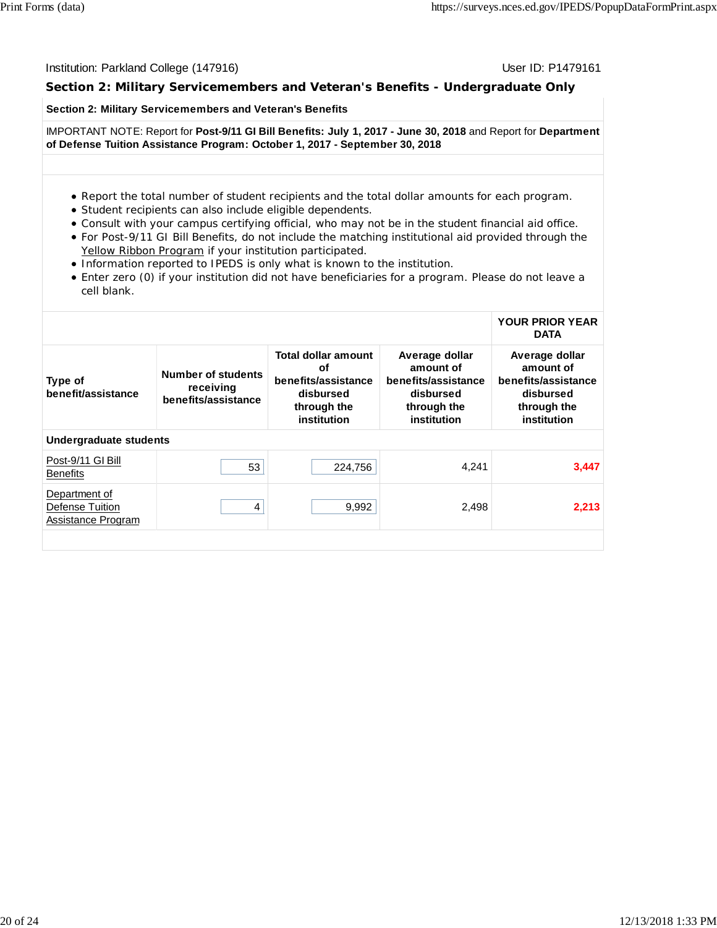**YOUR PRIOR YEAR**

# **Section 2: Military Servicemembers and Veteran's Benefits - Undergraduate Only**

## **Section 2: Military Servicemembers and Veteran's Benefits**

IMPORTANT NOTE: Report for **Post-9/11 GI Bill Benefits: July 1, 2017 - June 30, 2018** and Report for **Department of Defense Tuition Assistance Program: October 1, 2017 - September 30, 2018**

- Report the total number of student recipients and the total dollar amounts for each program.
- Student recipients can also include eligible dependents.
- Consult with your campus certifying official, who may not be in the student financial aid office.
- For Post-9/11 GI Bill Benefits, do not include the matching institutional aid provided through the Yellow Ribbon Program if your institution participated.
- Information reported to IPEDS is only what is known to the institution.
- Enter zero (0) if your institution did not have beneficiaries for a program. Please do not leave a cell blank.

|                                                        |                                                        |                                                                                                    |                                                                                               | <b>DATA</b>                                                                                   |
|--------------------------------------------------------|--------------------------------------------------------|----------------------------------------------------------------------------------------------------|-----------------------------------------------------------------------------------------------|-----------------------------------------------------------------------------------------------|
| Type of<br>benefit/assistance                          | Number of students<br>receiving<br>benefits/assistance | <b>Total dollar amount</b><br>οf<br>benefits/assistance<br>disbursed<br>through the<br>institution | Average dollar<br>amount of<br>benefits/assistance<br>disbursed<br>through the<br>institution | Average dollar<br>amount of<br>benefits/assistance<br>disbursed<br>through the<br>institution |
| Undergraduate students                                 |                                                        |                                                                                                    |                                                                                               |                                                                                               |
| Post-9/11 GI Bill<br><b>Benefits</b>                   | 53                                                     | 224,756                                                                                            | 4,241                                                                                         | 3,447                                                                                         |
| Department of<br>Defense Tuition<br>Assistance Program | 4                                                      | 9,992                                                                                              | 2.498                                                                                         | 2,213                                                                                         |
|                                                        |                                                        |                                                                                                    |                                                                                               |                                                                                               |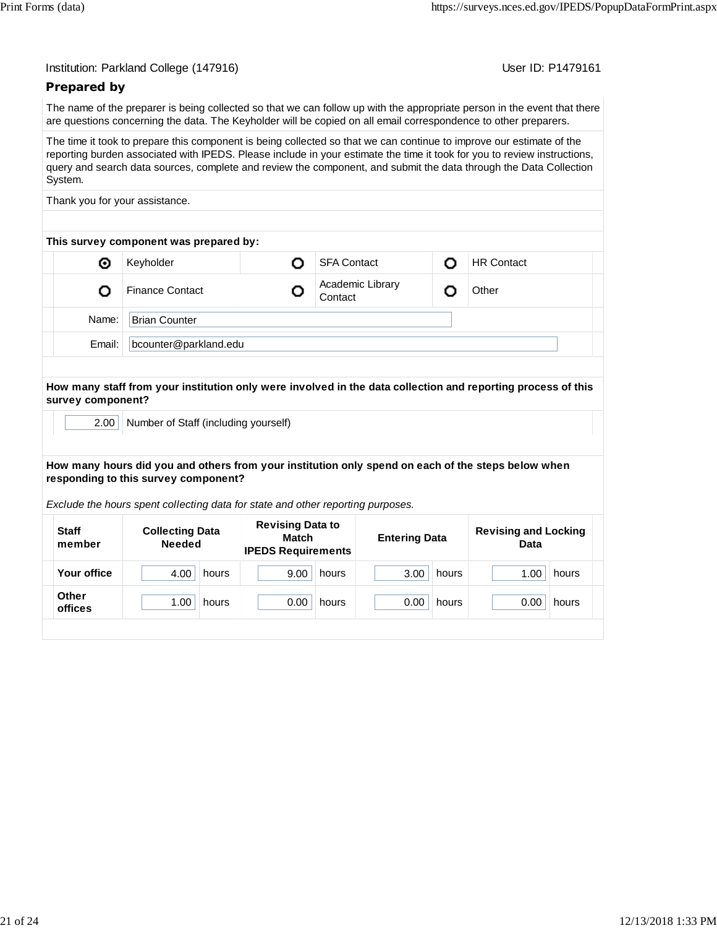User ID: P1479161

# **Prepared by**

The name of the preparer is being collected so that we can follow up with the appropriate person in the event that there are questions concerning the data. The Keyholder will be copied on all email correspondence to other preparers.

The time it took to prepare this component is being collected so that we can continue to improve our estimate of the reporting burden associated with IPEDS. Please include in your estimate the time it took for you to review instructions, query and search data sources, complete and review the component, and submit the data through the Data Collection System.

Thank you for your assistance.

| This survey component was prepared by: |                                                      |  |       |  |  |  |  |  |
|----------------------------------------|------------------------------------------------------|--|-------|--|--|--|--|--|
| ◉                                      | <b>SFA Contact</b><br>Keyholder<br><b>HR Contact</b> |  |       |  |  |  |  |  |
|                                        | <b>Finance Contact</b>                               |  | Other |  |  |  |  |  |
| Name:                                  | <b>Brian Counter</b>                                 |  |       |  |  |  |  |  |
| Email:                                 | bcounter@parkland.edu                                |  |       |  |  |  |  |  |

**How many staff from your institution only were involved in the data collection and reporting process of this survey component?**

2.00 Number of Staff (including yourself)

**How many hours did you and others from your institution only spend on each of the steps below when responding to this survey component?**

*Exclude the hours spent collecting data for state and other reporting purposes.*

| <b>Staff</b><br>member  | <b>Collecting Data</b><br><b>Needed</b> | <b>Revising Data to</b><br>Match<br><b>IPEDS Requirements</b> | <b>Entering Data</b> | <b>Revising and Locking</b><br>Data |  |
|-------------------------|-----------------------------------------|---------------------------------------------------------------|----------------------|-------------------------------------|--|
| Your office             | 4.00<br>hours                           | 9.00<br>hours                                                 | 3.00<br>hours        | 1.00<br>hours                       |  |
| <b>Other</b><br>offices | 1.00<br>hours                           | 0.00<br>hours                                                 | 0.00<br>hours        | 0.00<br>hours                       |  |
|                         |                                         |                                                               |                      |                                     |  |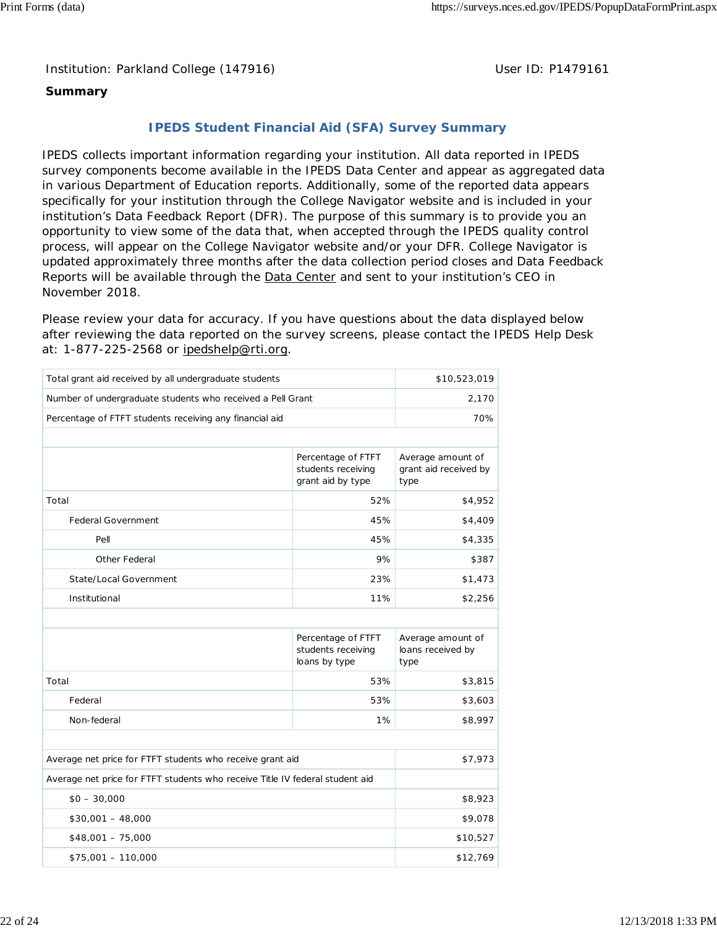Institution: Parkland College (147916) **Distribution: Parkland College (1479161** College College College College College College College College College College College College College College College College College Colle

# **Summary**

# **IPEDS Student Financial Aid (SFA) Survey Summary**

IPEDS collects important information regarding your institution. All data reported in IPEDS survey components become available in the IPEDS Data Center and appear as aggregated data in various Department of Education reports. Additionally, some of the reported data appears specifically for your institution through the College Navigator website and is included in your institution's Data Feedback Report (DFR). The purpose of this summary is to provide you an opportunity to view some of the data that, when accepted through the IPEDS quality control process, will appear on the College Navigator website and/or your DFR. College Navigator is updated approximately three months after the data collection period closes and Data Feedback Reports will be available through the **Data Center** and sent to your institution's CEO in November 2018.

Please review your data for accuracy. If you have questions about the data displayed below after reviewing the data reported on the survey screens, please contact the IPEDS Help Desk at: 1-877-225-2568 or ipedshelp@rti.org.

| Total grant aid received by all undergraduate students                       | \$10,523,019                                              |         |  |
|------------------------------------------------------------------------------|-----------------------------------------------------------|---------|--|
| Number of undergraduate students who received a Pell Grant                   | 2,170                                                     |         |  |
| Percentage of FTFT students receiving any financial aid                      |                                                           | 70%     |  |
|                                                                              |                                                           |         |  |
|                                                                              | Average amount of<br>grant aid received by<br>type        |         |  |
| Total                                                                        | 52%                                                       | \$4,952 |  |
| <b>Federal Government</b>                                                    | 45%                                                       | \$4,409 |  |
| Pell                                                                         | 45%                                                       | \$4,335 |  |
| Other Federal                                                                | 9%                                                        | \$387   |  |
| State/Local Government                                                       | \$1,473                                                   |         |  |
| Institutional                                                                | \$2,256                                                   |         |  |
|                                                                              |                                                           |         |  |
|                                                                              | Average amount of<br>loans received by<br>type            |         |  |
| Total                                                                        | 53%                                                       | \$3,815 |  |
| Federal                                                                      | 53%                                                       | \$3,603 |  |
| Non-federal                                                                  | 1%                                                        | \$8,997 |  |
|                                                                              |                                                           |         |  |
|                                                                              | Average net price for FTFT students who receive grant aid |         |  |
| Average net price for FTFT students who receive Title IV federal student aid |                                                           |         |  |
| $$0 - 30,000$                                                                | \$8,923                                                   |         |  |
| $$30,001 - 48,000$                                                           | \$9,078                                                   |         |  |
| $$48,001 - 75,000$                                                           | \$10,527                                                  |         |  |
| $$75,001 - 110,000$                                                          | \$12,769                                                  |         |  |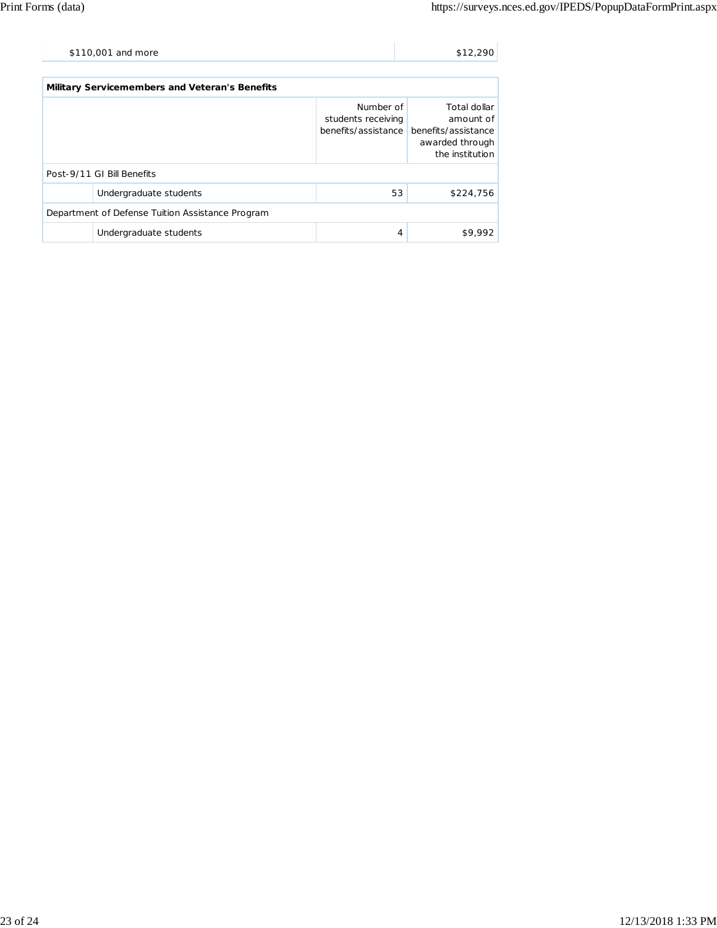| \$110,001 and more | \$12,290 |
|--------------------|----------|
|                    |          |

| Military Servicemembers and Veteran's Benefits   |                        |                                 |                                                                                                              |  |  |
|--------------------------------------------------|------------------------|---------------------------------|--------------------------------------------------------------------------------------------------------------|--|--|
|                                                  |                        | Number of<br>students receiving | Total dollar<br>amount of<br>benefits/assistance   benefits/assistance<br>awarded through<br>the institution |  |  |
| Post-9/11 GI Bill Benefits                       |                        |                                 |                                                                                                              |  |  |
|                                                  | Undergraduate students | 53                              | \$224,756                                                                                                    |  |  |
| Department of Defense Tuition Assistance Program |                        |                                 |                                                                                                              |  |  |
|                                                  | Undergraduate students | 4                               | \$9,992                                                                                                      |  |  |